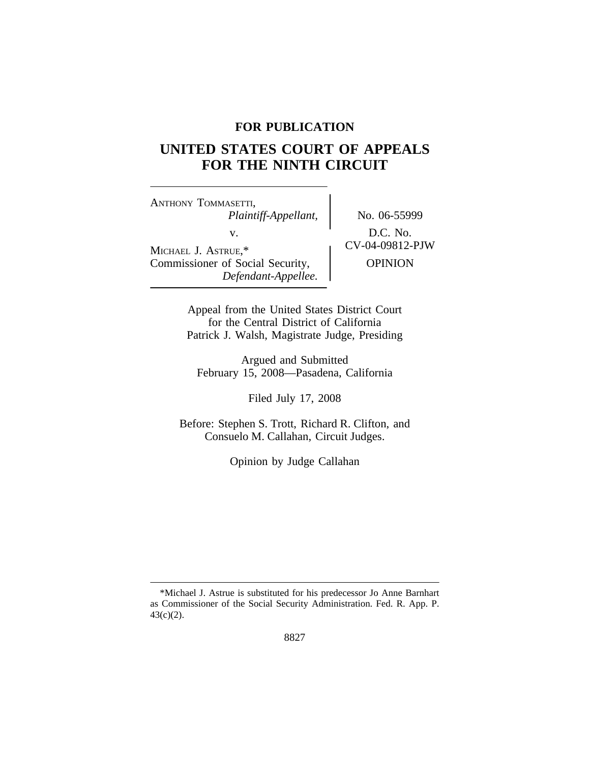## **FOR PUBLICATION**

# **UNITED STATES COURT OF APPEALS FOR THE NINTH CIRCUIT**

<sup>A</sup>NTHONY TOMMASETTI, *Plaintiff-Appellant,* No. 06-55999 v.  $D.C. No.$ <br>CV-04-09812-PJW MICHAEL J. ASTRUE,\* Commissioner of Social Security,  $\qquad$  OPINION *Defendant-Appellee.*

Appeal from the United States District Court for the Central District of California Patrick J. Walsh, Magistrate Judge, Presiding

Argued and Submitted February 15, 2008—Pasadena, California

Filed July 17, 2008

Before: Stephen S. Trott, Richard R. Clifton, and Consuelo M. Callahan, Circuit Judges.

Opinion by Judge Callahan

<sup>\*</sup>Michael J. Astrue is substituted for his predecessor Jo Anne Barnhart as Commissioner of the Social Security Administration. Fed. R. App. P. 43(c)(2).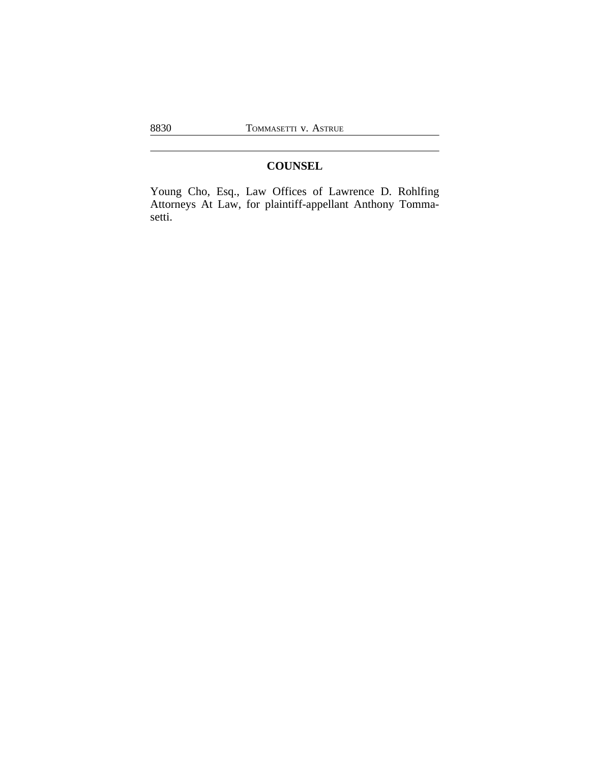## **COUNSEL**

Young Cho, Esq., Law Offices of Lawrence D. Rohlfing Attorneys At Law, for plaintiff-appellant Anthony Tommasetti.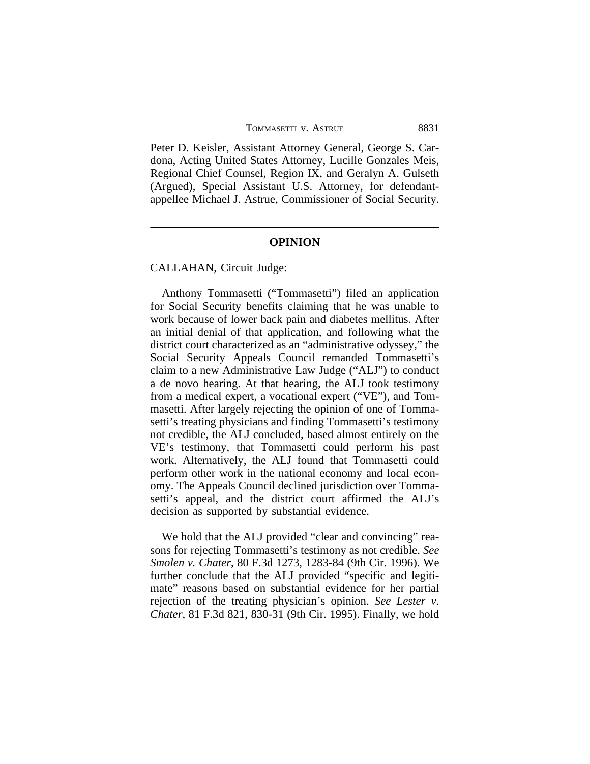| TOMMASETTI V. ASTRUE | 8831 |
|----------------------|------|
|                      |      |

Peter D. Keisler, Assistant Attorney General, George S. Cardona, Acting United States Attorney, Lucille Gonzales Meis, Regional Chief Counsel, Region IX, and Geralyn A. Gulseth (Argued), Special Assistant U.S. Attorney, for defendantappellee Michael J. Astrue, Commissioner of Social Security.

#### **OPINION**

## CALLAHAN, Circuit Judge:

Anthony Tommasetti ("Tommasetti") filed an application for Social Security benefits claiming that he was unable to work because of lower back pain and diabetes mellitus. After an initial denial of that application, and following what the district court characterized as an "administrative odyssey," the Social Security Appeals Council remanded Tommasetti's claim to a new Administrative Law Judge ("ALJ") to conduct a de novo hearing. At that hearing, the ALJ took testimony from a medical expert, a vocational expert ("VE"), and Tommasetti. After largely rejecting the opinion of one of Tommasetti's treating physicians and finding Tommasetti's testimony not credible, the ALJ concluded, based almost entirely on the VE's testimony, that Tommasetti could perform his past work. Alternatively, the ALJ found that Tommasetti could perform other work in the national economy and local economy. The Appeals Council declined jurisdiction over Tommasetti's appeal, and the district court affirmed the ALJ's decision as supported by substantial evidence.

We hold that the ALJ provided "clear and convincing" reasons for rejecting Tommasetti's testimony as not credible. *See Smolen v. Chater*, 80 F.3d 1273, 1283-84 (9th Cir. 1996). We further conclude that the ALJ provided "specific and legitimate" reasons based on substantial evidence for her partial rejection of the treating physician's opinion. *See Lester v. Chater*, 81 F.3d 821, 830-31 (9th Cir. 1995). Finally, we hold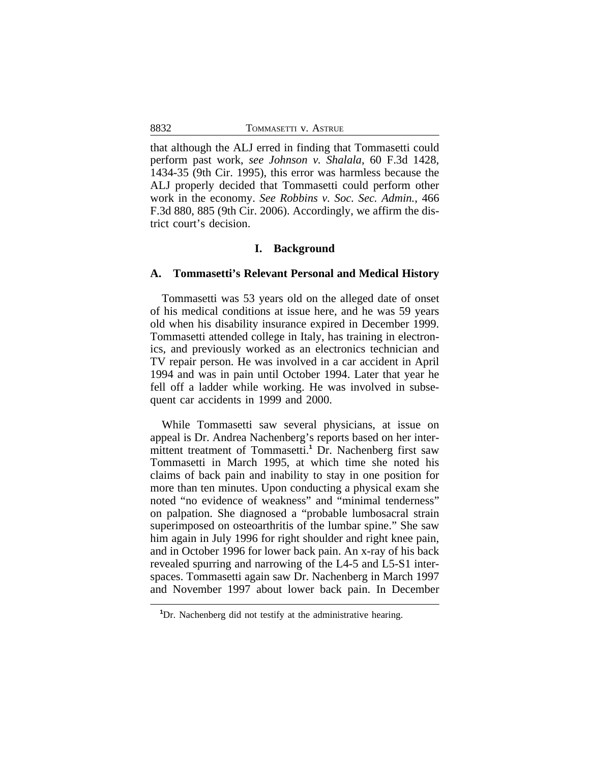that although the ALJ erred in finding that Tommasetti could perform past work, *see Johnson v. Shalala*, 60 F.3d 1428, 1434-35 (9th Cir. 1995), this error was harmless because the ALJ properly decided that Tommasetti could perform other work in the economy. *See Robbins v. Soc. Sec. Admin.*, 466 F.3d 880, 885 (9th Cir. 2006). Accordingly, we affirm the district court's decision.

## **I. Background**

## **A. Tommasetti's Relevant Personal and Medical History**

Tommasetti was 53 years old on the alleged date of onset of his medical conditions at issue here, and he was 59 years old when his disability insurance expired in December 1999. Tommasetti attended college in Italy, has training in electronics, and previously worked as an electronics technician and TV repair person. He was involved in a car accident in April 1994 and was in pain until October 1994. Later that year he fell off a ladder while working. He was involved in subsequent car accidents in 1999 and 2000.

While Tommasetti saw several physicians, at issue on appeal is Dr. Andrea Nachenberg's reports based on her intermittent treatment of Tommasetti.**<sup>1</sup>** Dr. Nachenberg first saw Tommasetti in March 1995, at which time she noted his claims of back pain and inability to stay in one position for more than ten minutes. Upon conducting a physical exam she noted "no evidence of weakness" and "minimal tenderness" on palpation. She diagnosed a "probable lumbosacral strain superimposed on osteoarthritis of the lumbar spine." She saw him again in July 1996 for right shoulder and right knee pain, and in October 1996 for lower back pain. An x-ray of his back revealed spurring and narrowing of the L4-5 and L5-S1 interspaces. Tommasetti again saw Dr. Nachenberg in March 1997 and November 1997 about lower back pain. In December

**<sup>1</sup>**Dr. Nachenberg did not testify at the administrative hearing.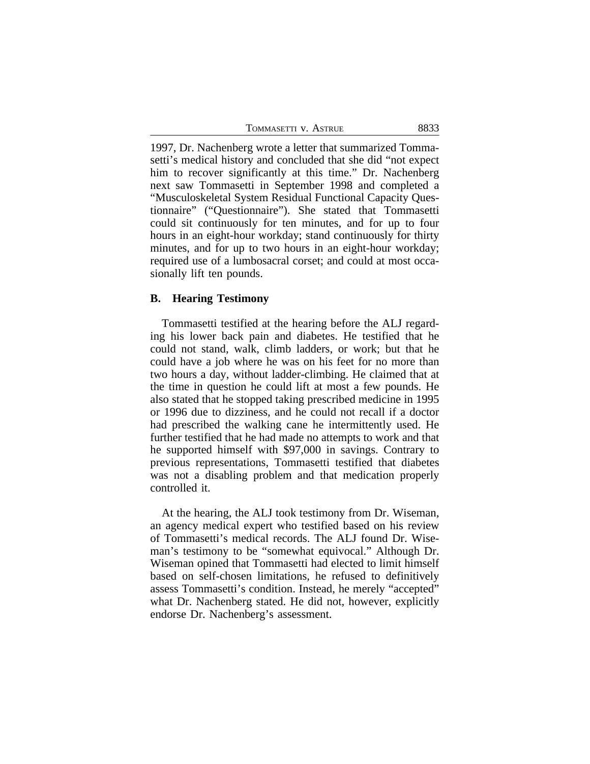| TOMMASETTI V. ASTRUE | 8833 |
|----------------------|------|
|                      |      |

1997, Dr. Nachenberg wrote a letter that summarized Tommasetti's medical history and concluded that she did "not expect him to recover significantly at this time." Dr. Nachenberg next saw Tommasetti in September 1998 and completed a "Musculoskeletal System Residual Functional Capacity Questionnaire" ("Questionnaire"). She stated that Tommasetti could sit continuously for ten minutes, and for up to four hours in an eight-hour workday; stand continuously for thirty minutes, and for up to two hours in an eight-hour workday; required use of a lumbosacral corset; and could at most occasionally lift ten pounds.

## **B. Hearing Testimony**

Tommasetti testified at the hearing before the ALJ regarding his lower back pain and diabetes. He testified that he could not stand, walk, climb ladders, or work; but that he could have a job where he was on his feet for no more than two hours a day, without ladder-climbing. He claimed that at the time in question he could lift at most a few pounds. He also stated that he stopped taking prescribed medicine in 1995 or 1996 due to dizziness, and he could not recall if a doctor had prescribed the walking cane he intermittently used. He further testified that he had made no attempts to work and that he supported himself with \$97,000 in savings. Contrary to previous representations, Tommasetti testified that diabetes was not a disabling problem and that medication properly controlled it.

At the hearing, the ALJ took testimony from Dr. Wiseman, an agency medical expert who testified based on his review of Tommasetti's medical records. The ALJ found Dr. Wiseman's testimony to be "somewhat equivocal." Although Dr. Wiseman opined that Tommasetti had elected to limit himself based on self-chosen limitations, he refused to definitively assess Tommasetti's condition. Instead, he merely "accepted" what Dr. Nachenberg stated. He did not, however, explicitly endorse Dr. Nachenberg's assessment.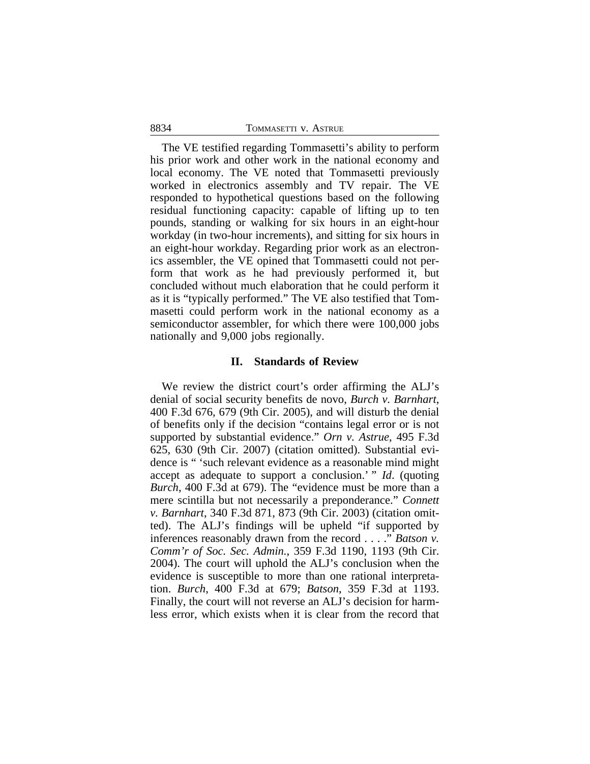The VE testified regarding Tommasetti's ability to perform his prior work and other work in the national economy and local economy. The VE noted that Tommasetti previously worked in electronics assembly and TV repair. The VE responded to hypothetical questions based on the following residual functioning capacity: capable of lifting up to ten pounds, standing or walking for six hours in an eight-hour workday (in two-hour increments), and sitting for six hours in an eight-hour workday. Regarding prior work as an electronics assembler, the VE opined that Tommasetti could not perform that work as he had previously performed it, but concluded without much elaboration that he could perform it as it is "typically performed." The VE also testified that Tommasetti could perform work in the national economy as a semiconductor assembler, for which there were 100,000 jobs nationally and 9,000 jobs regionally.

## **II. Standards of Review**

We review the district court's order affirming the ALJ's denial of social security benefits de novo, *Burch v. Barnhart*, 400 F.3d 676, 679 (9th Cir. 2005), and will disturb the denial of benefits only if the decision "contains legal error or is not supported by substantial evidence." *Orn v. Astrue*, 495 F.3d 625, 630 (9th Cir. 2007) (citation omitted). Substantial evidence is " 'such relevant evidence as a reasonable mind might accept as adequate to support a conclusion.' " *Id*. (quoting *Burch*, 400 F.3d at 679). The "evidence must be more than a mere scintilla but not necessarily a preponderance." *Connett v. Barnhart*, 340 F.3d 871, 873 (9th Cir. 2003) (citation omitted). The ALJ's findings will be upheld "if supported by inferences reasonably drawn from the record . . . ." *Batson v. Comm'r of Soc. Sec. Admin.*, 359 F.3d 1190, 1193 (9th Cir. 2004). The court will uphold the ALJ's conclusion when the evidence is susceptible to more than one rational interpretation. *Burch*, 400 F.3d at 679; *Batson*, 359 F.3d at 1193. Finally, the court will not reverse an ALJ's decision for harmless error, which exists when it is clear from the record that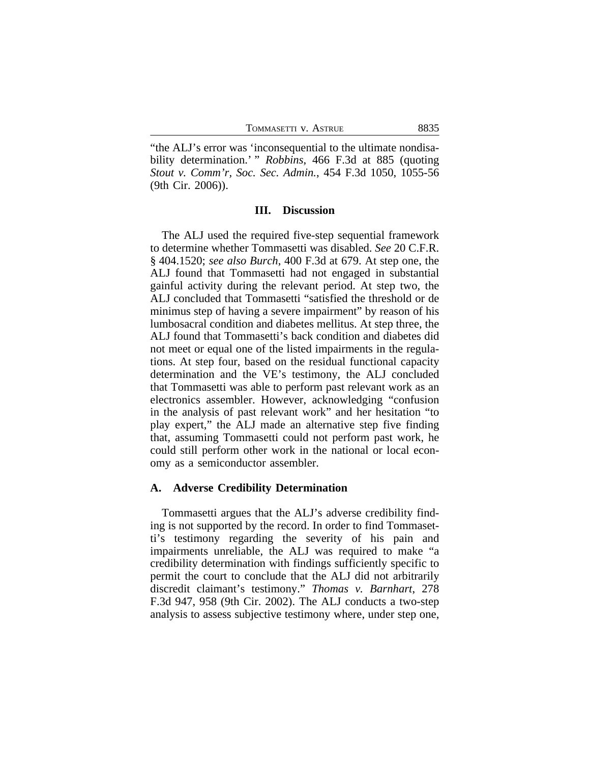"the ALJ's error was 'inconsequential to the ultimate nondisability determination.' " *Robbins*, 466 F.3d at 885 (quoting *Stout v. Comm'r, Soc. Sec. Admin.*, 454 F.3d 1050, 1055-56 (9th Cir. 2006)).

#### **III. Discussion**

The ALJ used the required five-step sequential framework to determine whether Tommasetti was disabled. *See* 20 C.F.R. § 404.1520; *see also Burch*, 400 F.3d at 679. At step one, the ALJ found that Tommasetti had not engaged in substantial gainful activity during the relevant period. At step two, the ALJ concluded that Tommasetti "satisfied the threshold or de minimus step of having a severe impairment" by reason of his lumbosacral condition and diabetes mellitus. At step three, the ALJ found that Tommasetti's back condition and diabetes did not meet or equal one of the listed impairments in the regulations. At step four, based on the residual functional capacity determination and the VE's testimony, the ALJ concluded that Tommasetti was able to perform past relevant work as an electronics assembler. However, acknowledging "confusion in the analysis of past relevant work" and her hesitation "to play expert," the ALJ made an alternative step five finding that, assuming Tommasetti could not perform past work, he could still perform other work in the national or local economy as a semiconductor assembler.

#### **A. Adverse Credibility Determination**

Tommasetti argues that the ALJ's adverse credibility finding is not supported by the record. In order to find Tommasetti's testimony regarding the severity of his pain and impairments unreliable, the ALJ was required to make "a credibility determination with findings sufficiently specific to permit the court to conclude that the ALJ did not arbitrarily discredit claimant's testimony." *Thomas v. Barnhart*, 278 F.3d 947, 958 (9th Cir. 2002). The ALJ conducts a two-step analysis to assess subjective testimony where, under step one,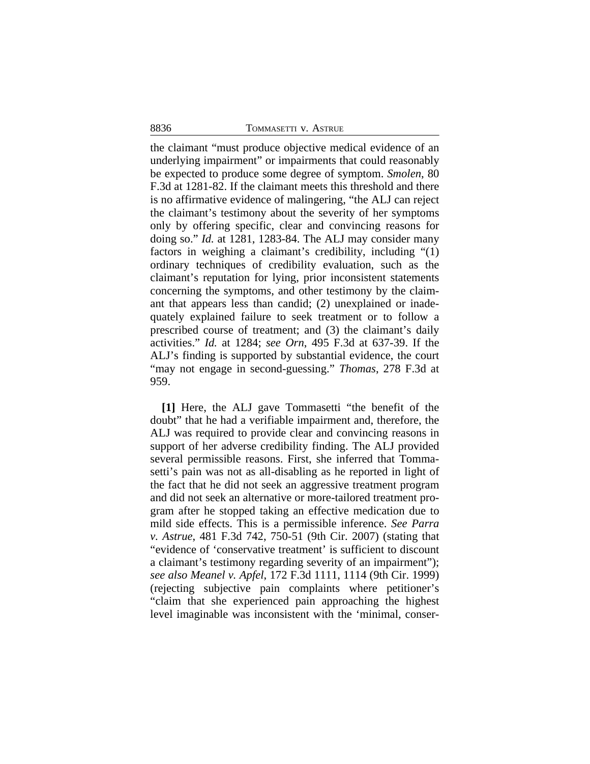the claimant "must produce objective medical evidence of an underlying impairment" or impairments that could reasonably be expected to produce some degree of symptom. *Smolen*, 80 F.3d at 1281-82. If the claimant meets this threshold and there is no affirmative evidence of malingering, "the ALJ can reject the claimant's testimony about the severity of her symptoms only by offering specific, clear and convincing reasons for doing so." *Id.* at 1281, 1283-84. The ALJ may consider many factors in weighing a claimant's credibility, including "(1) ordinary techniques of credibility evaluation, such as the claimant's reputation for lying, prior inconsistent statements concerning the symptoms, and other testimony by the claimant that appears less than candid; (2) unexplained or inadequately explained failure to seek treatment or to follow a prescribed course of treatment; and (3) the claimant's daily activities." *Id.* at 1284; *see Orn*, 495 F.3d at 637-39. If the ALJ's finding is supported by substantial evidence, the court "may not engage in second-guessing." *Thomas*, 278 F.3d at 959.

**[1]** Here, the ALJ gave Tommasetti "the benefit of the doubt" that he had a verifiable impairment and, therefore, the ALJ was required to provide clear and convincing reasons in support of her adverse credibility finding. The ALJ provided several permissible reasons. First, she inferred that Tommasetti's pain was not as all-disabling as he reported in light of the fact that he did not seek an aggressive treatment program and did not seek an alternative or more-tailored treatment program after he stopped taking an effective medication due to mild side effects. This is a permissible inference. *See Parra v. Astrue*, 481 F.3d 742, 750-51 (9th Cir. 2007) (stating that "evidence of 'conservative treatment' is sufficient to discount a claimant's testimony regarding severity of an impairment"); *see also Meanel v. Apfel*, 172 F.3d 1111, 1114 (9th Cir. 1999) (rejecting subjective pain complaints where petitioner's "claim that she experienced pain approaching the highest level imaginable was inconsistent with the 'minimal, conser-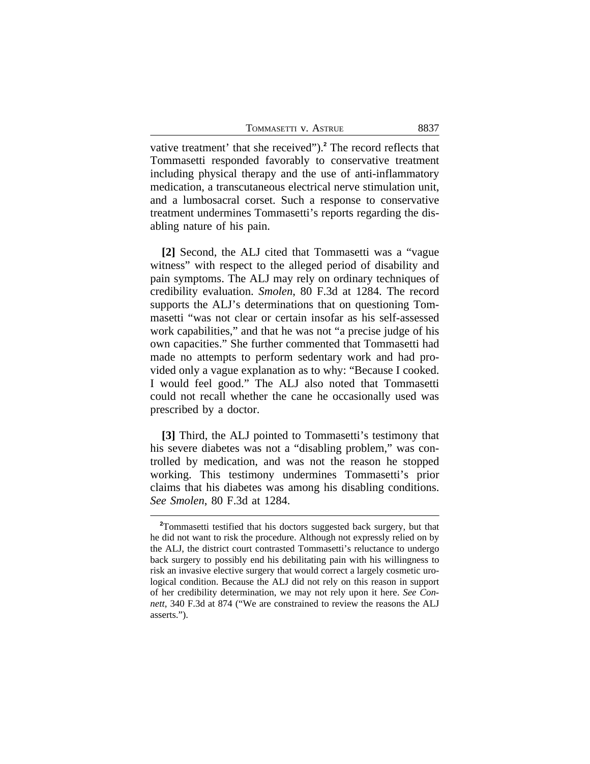vative treatment' that she received").**<sup>2</sup>** The record reflects that Tommasetti responded favorably to conservative treatment including physical therapy and the use of anti-inflammatory medication, a transcutaneous electrical nerve stimulation unit, and a lumbosacral corset. Such a response to conservative treatment undermines Tommasetti's reports regarding the disabling nature of his pain.

**[2]** Second, the ALJ cited that Tommasetti was a "vague witness" with respect to the alleged period of disability and pain symptoms. The ALJ may rely on ordinary techniques of credibility evaluation. *Smolen*, 80 F.3d at 1284. The record supports the ALJ's determinations that on questioning Tommasetti "was not clear or certain insofar as his self-assessed work capabilities," and that he was not "a precise judge of his own capacities." She further commented that Tommasetti had made no attempts to perform sedentary work and had provided only a vague explanation as to why: "Because I cooked. I would feel good." The ALJ also noted that Tommasetti could not recall whether the cane he occasionally used was prescribed by a doctor.

**[3]** Third, the ALJ pointed to Tommasetti's testimony that his severe diabetes was not a "disabling problem," was controlled by medication, and was not the reason he stopped working. This testimony undermines Tommasetti's prior claims that his diabetes was among his disabling conditions. *See Smolen*, 80 F.3d at 1284.

**<sup>2</sup>**Tommasetti testified that his doctors suggested back surgery, but that he did not want to risk the procedure. Although not expressly relied on by the ALJ, the district court contrasted Tommasetti's reluctance to undergo back surgery to possibly end his debilitating pain with his willingness to risk an invasive elective surgery that would correct a largely cosmetic urological condition. Because the ALJ did not rely on this reason in support of her credibility determination, we may not rely upon it here. *See Connett*, 340 F.3d at 874 ("We are constrained to review the reasons the ALJ asserts.").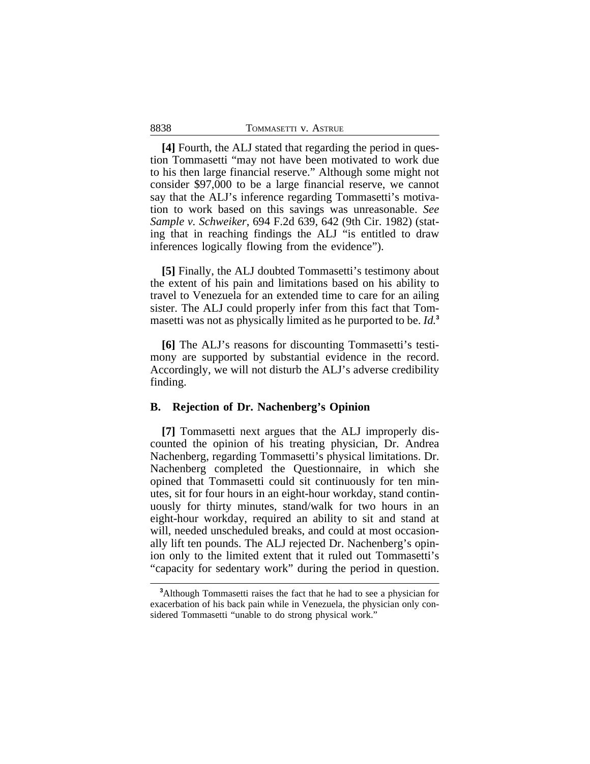**[4]** Fourth, the ALJ stated that regarding the period in question Tommasetti "may not have been motivated to work due to his then large financial reserve." Although some might not consider \$97,000 to be a large financial reserve, we cannot say that the ALJ's inference regarding Tommasetti's motivation to work based on this savings was unreasonable. *See Sample v. Schweiker*, 694 F.2d 639, 642 (9th Cir. 1982) (stating that in reaching findings the ALJ "is entitled to draw inferences logically flowing from the evidence").

**[5]** Finally, the ALJ doubted Tommasetti's testimony about the extent of his pain and limitations based on his ability to travel to Venezuela for an extended time to care for an ailing sister. The ALJ could properly infer from this fact that Tommasetti was not as physically limited as he purported to be. *Id.***<sup>3</sup>**

**[6]** The ALJ's reasons for discounting Tommasetti's testimony are supported by substantial evidence in the record. Accordingly, we will not disturb the ALJ's adverse credibility finding.

#### **B. Rejection of Dr. Nachenberg's Opinion**

**[7]** Tommasetti next argues that the ALJ improperly discounted the opinion of his treating physician, Dr. Andrea Nachenberg, regarding Tommasetti's physical limitations. Dr. Nachenberg completed the Questionnaire, in which she opined that Tommasetti could sit continuously for ten minutes, sit for four hours in an eight-hour workday, stand continuously for thirty minutes, stand/walk for two hours in an eight-hour workday, required an ability to sit and stand at will, needed unscheduled breaks, and could at most occasionally lift ten pounds. The ALJ rejected Dr. Nachenberg's opinion only to the limited extent that it ruled out Tommasetti's "capacity for sedentary work" during the period in question.

**<sup>3</sup>**Although Tommasetti raises the fact that he had to see a physician for exacerbation of his back pain while in Venezuela, the physician only considered Tommasetti "unable to do strong physical work."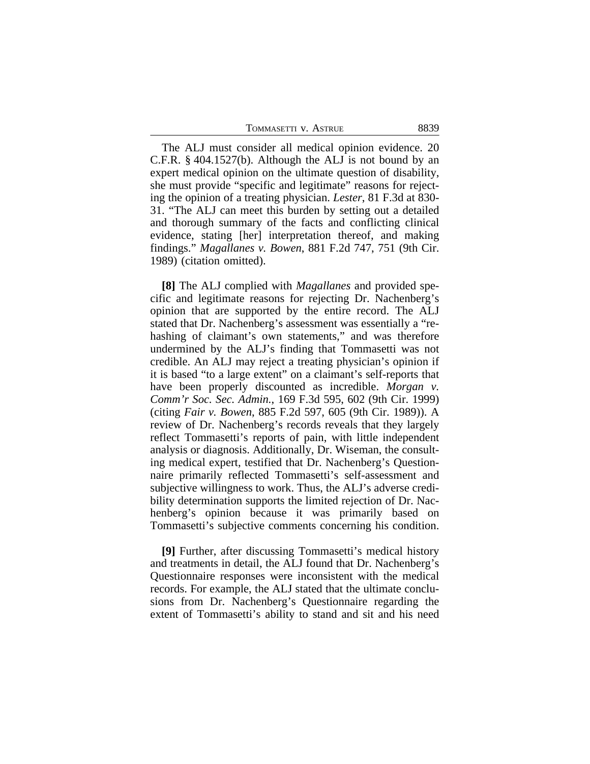| TOMMASETTI V. ASTRUE | 8839 |
|----------------------|------|
|                      |      |

The ALJ must consider all medical opinion evidence. 20 C.F.R. § 404.1527(b). Although the ALJ is not bound by an expert medical opinion on the ultimate question of disability, she must provide "specific and legitimate" reasons for rejecting the opinion of a treating physician. *Lester*, 81 F.3d at 830- 31. "The ALJ can meet this burden by setting out a detailed and thorough summary of the facts and conflicting clinical evidence, stating [her] interpretation thereof, and making findings." *Magallanes v. Bowen*, 881 F.2d 747, 751 (9th Cir. 1989) (citation omitted).

**[8]** The ALJ complied with *Magallanes* and provided specific and legitimate reasons for rejecting Dr. Nachenberg's opinion that are supported by the entire record. The ALJ stated that Dr. Nachenberg's assessment was essentially a "rehashing of claimant's own statements," and was therefore undermined by the ALJ's finding that Tommasetti was not credible. An ALJ may reject a treating physician's opinion if it is based "to a large extent" on a claimant's self-reports that have been properly discounted as incredible. *Morgan v. Comm'r Soc. Sec. Admin.*, 169 F.3d 595, 602 (9th Cir. 1999) (citing *Fair v. Bowen*, 885 F.2d 597, 605 (9th Cir. 1989)). A review of Dr. Nachenberg's records reveals that they largely reflect Tommasetti's reports of pain, with little independent analysis or diagnosis. Additionally, Dr. Wiseman, the consulting medical expert, testified that Dr. Nachenberg's Questionnaire primarily reflected Tommasetti's self-assessment and subjective willingness to work. Thus, the ALJ's adverse credibility determination supports the limited rejection of Dr. Nachenberg's opinion because it was primarily based on Tommasetti's subjective comments concerning his condition.

**[9]** Further, after discussing Tommasetti's medical history and treatments in detail, the ALJ found that Dr. Nachenberg's Questionnaire responses were inconsistent with the medical records. For example, the ALJ stated that the ultimate conclusions from Dr. Nachenberg's Questionnaire regarding the extent of Tommasetti's ability to stand and sit and his need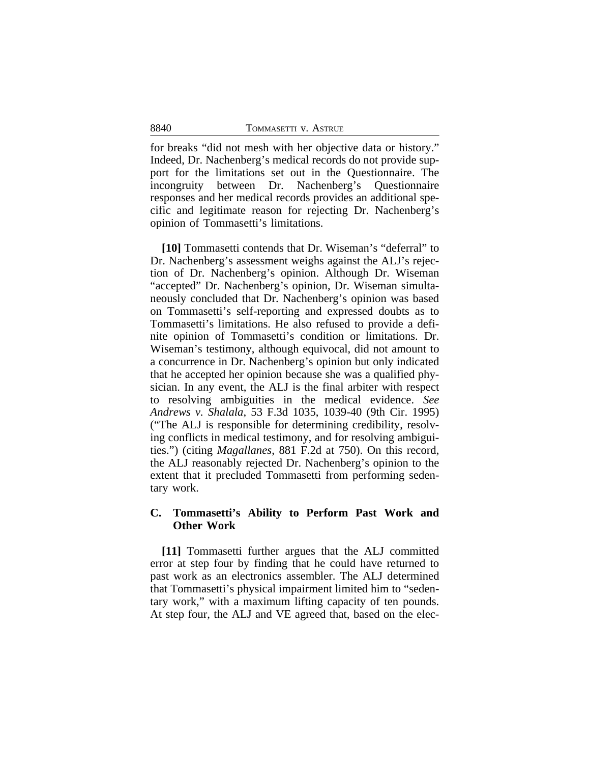for breaks "did not mesh with her objective data or history." Indeed, Dr. Nachenberg's medical records do not provide support for the limitations set out in the Questionnaire. The incongruity between Dr. Nachenberg's Questionnaire responses and her medical records provides an additional specific and legitimate reason for rejecting Dr. Nachenberg's opinion of Tommasetti's limitations.

**[10]** Tommasetti contends that Dr. Wiseman's "deferral" to Dr. Nachenberg's assessment weighs against the ALJ's rejection of Dr. Nachenberg's opinion. Although Dr. Wiseman "accepted" Dr. Nachenberg's opinion, Dr. Wiseman simultaneously concluded that Dr. Nachenberg's opinion was based on Tommasetti's self-reporting and expressed doubts as to Tommasetti's limitations. He also refused to provide a definite opinion of Tommasetti's condition or limitations. Dr. Wiseman's testimony, although equivocal, did not amount to a concurrence in Dr. Nachenberg's opinion but only indicated that he accepted her opinion because she was a qualified physician. In any event, the ALJ is the final arbiter with respect to resolving ambiguities in the medical evidence. *See Andrews v. Shalala*, 53 F.3d 1035, 1039-40 (9th Cir. 1995) ("The ALJ is responsible for determining credibility, resolving conflicts in medical testimony, and for resolving ambiguities.") (citing *Magallanes*, 881 F.2d at 750). On this record, the ALJ reasonably rejected Dr. Nachenberg's opinion to the extent that it precluded Tommasetti from performing sedentary work.

## **C. Tommasetti's Ability to Perform Past Work and Other Work**

**[11]** Tommasetti further argues that the ALJ committed error at step four by finding that he could have returned to past work as an electronics assembler. The ALJ determined that Tommasetti's physical impairment limited him to "sedentary work," with a maximum lifting capacity of ten pounds. At step four, the ALJ and VE agreed that, based on the elec-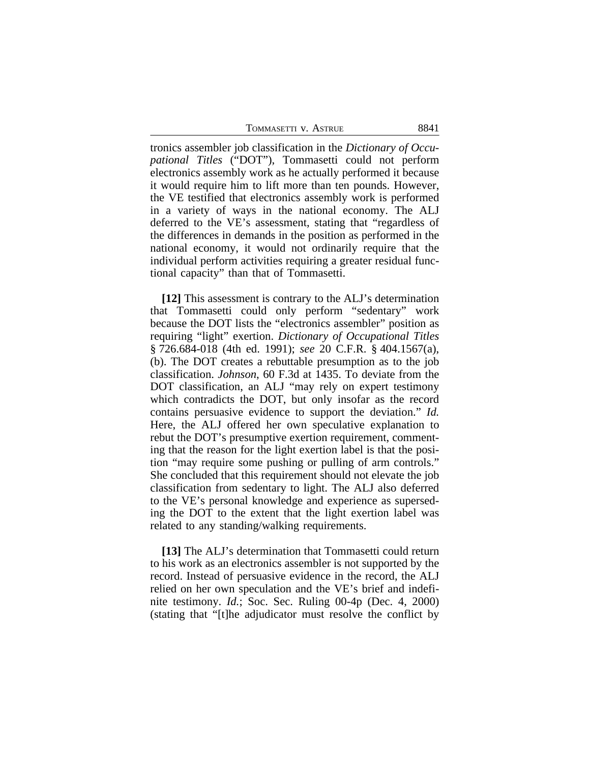tronics assembler job classification in the *Dictionary of Occupational Titles* ("DOT"), Tommasetti could not perform electronics assembly work as he actually performed it because it would require him to lift more than ten pounds. However, the VE testified that electronics assembly work is performed in a variety of ways in the national economy. The ALJ deferred to the VE's assessment, stating that "regardless of the differences in demands in the position as performed in the national economy, it would not ordinarily require that the individual perform activities requiring a greater residual functional capacity" than that of Tommasetti.

**[12]** This assessment is contrary to the ALJ's determination that Tommasetti could only perform "sedentary" work because the DOT lists the "electronics assembler" position as requiring "light" exertion. *Dictionary of Occupational Titles* § 726.684-018 (4th ed. 1991); *see* 20 C.F.R. § 404.1567(a), (b). The DOT creates a rebuttable presumption as to the job classification. *Johnson*, 60 F.3d at 1435. To deviate from the DOT classification, an ALJ "may rely on expert testimony which contradicts the DOT, but only insofar as the record contains persuasive evidence to support the deviation." *Id.* Here, the ALJ offered her own speculative explanation to rebut the DOT's presumptive exertion requirement, commenting that the reason for the light exertion label is that the position "may require some pushing or pulling of arm controls." She concluded that this requirement should not elevate the job classification from sedentary to light. The ALJ also deferred to the VE's personal knowledge and experience as superseding the DOT to the extent that the light exertion label was related to any standing/walking requirements.

**[13]** The ALJ's determination that Tommasetti could return to his work as an electronics assembler is not supported by the record. Instead of persuasive evidence in the record, the ALJ relied on her own speculation and the VE's brief and indefinite testimony. *Id.*; Soc. Sec. Ruling 00-4p (Dec. 4, 2000) (stating that "[t]he adjudicator must resolve the conflict by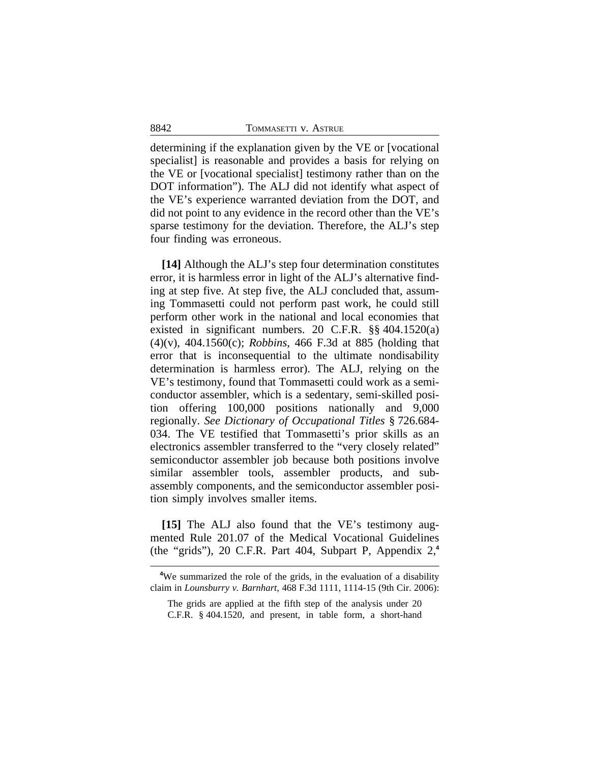determining if the explanation given by the VE or [vocational specialist) is reasonable and provides a basis for relying on the VE or [vocational specialist] testimony rather than on the DOT information"). The ALJ did not identify what aspect of the VE's experience warranted deviation from the DOT, and did not point to any evidence in the record other than the VE's sparse testimony for the deviation. Therefore, the ALJ's step four finding was erroneous.

**[14]** Although the ALJ's step four determination constitutes error, it is harmless error in light of the ALJ's alternative finding at step five. At step five, the ALJ concluded that, assuming Tommasetti could not perform past work, he could still perform other work in the national and local economies that existed in significant numbers. 20 C.F.R. §§ 404.1520(a) (4)(v), 404.1560(c); *Robbins*, 466 F.3d at 885 (holding that error that is inconsequential to the ultimate nondisability determination is harmless error). The ALJ, relying on the VE's testimony, found that Tommasetti could work as a semiconductor assembler, which is a sedentary, semi-skilled position offering 100,000 positions nationally and 9,000 regionally. *See Dictionary of Occupational Titles* § 726.684- 034. The VE testified that Tommasetti's prior skills as an electronics assembler transferred to the "very closely related" semiconductor assembler job because both positions involve similar assembler tools, assembler products, and subassembly components, and the semiconductor assembler position simply involves smaller items.

**[15]** The ALJ also found that the VE's testimony augmented Rule 201.07 of the Medical Vocational Guidelines (the "grids"), 20 C.F.R. Part 404, Subpart P, Appendix 2,**<sup>4</sup>**

**<sup>4</sup>**We summarized the role of the grids, in the evaluation of a disability claim in *Lounsburry v. Barnhart*, 468 F.3d 1111, 1114-15 (9th Cir. 2006):

The grids are applied at the fifth step of the analysis under 20 C.F.R. § 404.1520, and present, in table form, a short-hand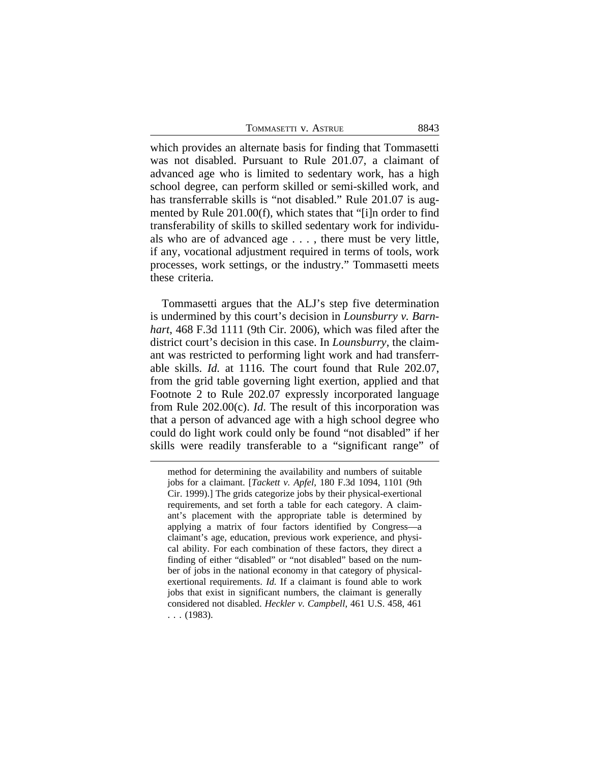| TOMMASETTI V. ASTRUE | 8843 |
|----------------------|------|
|                      |      |

which provides an alternate basis for finding that Tommasetti was not disabled. Pursuant to Rule 201.07, a claimant of advanced age who is limited to sedentary work, has a high school degree, can perform skilled or semi-skilled work, and has transferrable skills is "not disabled." Rule 201.07 is augmented by Rule 201.00(f), which states that "[i]n order to find transferability of skills to skilled sedentary work for individuals who are of advanced age . . . , there must be very little, if any, vocational adjustment required in terms of tools, work processes, work settings, or the industry." Tommasetti meets these criteria.

Tommasetti argues that the ALJ's step five determination is undermined by this court's decision in *Lounsburry v. Barnhart*, 468 F.3d 1111 (9th Cir. 2006), which was filed after the district court's decision in this case. In *Lounsburry*, the claimant was restricted to performing light work and had transferrable skills. *Id.* at 1116. The court found that Rule 202.07, from the grid table governing light exertion, applied and that Footnote 2 to Rule 202.07 expressly incorporated language from Rule 202.00(c). *Id*. The result of this incorporation was that a person of advanced age with a high school degree who could do light work could only be found "not disabled" if her skills were readily transferable to a "significant range" of

method for determining the availability and numbers of suitable jobs for a claimant. [*Tackett v. Apfel*, 180 F.3d 1094, 1101 (9th Cir. 1999).] The grids categorize jobs by their physical-exertional requirements, and set forth a table for each category. A claimant's placement with the appropriate table is determined by applying a matrix of four factors identified by Congress—a claimant's age, education, previous work experience, and physical ability. For each combination of these factors, they direct a finding of either "disabled" or "not disabled" based on the number of jobs in the national economy in that category of physicalexertional requirements. *Id.* If a claimant is found able to work jobs that exist in significant numbers, the claimant is generally considered not disabled. *Heckler v. Campbell*, 461 U.S. 458, 461 . . . (1983).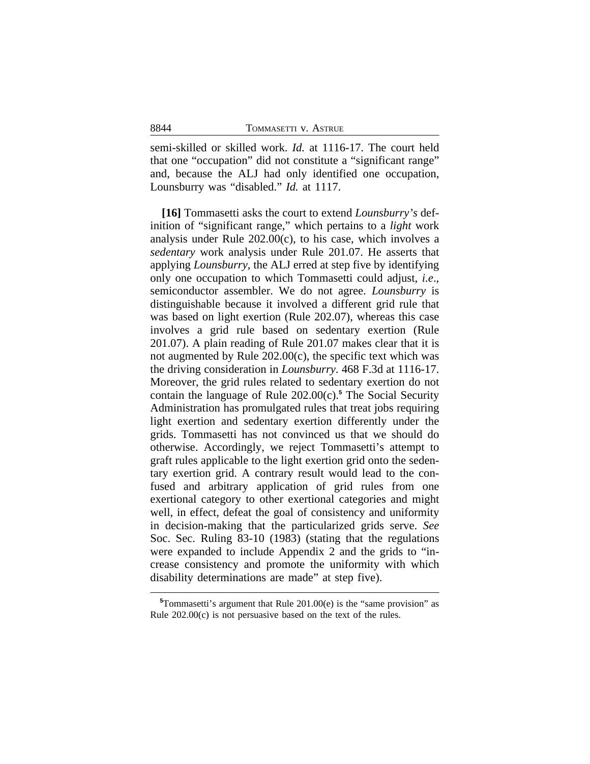semi-skilled or skilled work. *Id.* at 1116-17. The court held that one "occupation" did not constitute a "significant range" and, because the ALJ had only identified one occupation, Lounsburry was "disabled." *Id.* at 1117.

**[16]** Tommasetti asks the court to extend *Lounsburry's* definition of "significant range," which pertains to a *light* work analysis under Rule 202.00(c), to his case, which involves a *sedentary* work analysis under Rule 201.07. He asserts that applying *Lounsburry*, the ALJ erred at step five by identifying only one occupation to which Tommasetti could adjust, *i.e*., semiconductor assembler. We do not agree. *Lounsburry* is distinguishable because it involved a different grid rule that was based on light exertion (Rule 202.07), whereas this case involves a grid rule based on sedentary exertion (Rule 201.07). A plain reading of Rule 201.07 makes clear that it is not augmented by Rule 202.00(c), the specific text which was the driving consideration in *Lounsburry*. 468 F.3d at 1116-17. Moreover, the grid rules related to sedentary exertion do not contain the language of Rule 202.00(c).**<sup>5</sup>** The Social Security Administration has promulgated rules that treat jobs requiring light exertion and sedentary exertion differently under the grids. Tommasetti has not convinced us that we should do otherwise. Accordingly, we reject Tommasetti's attempt to graft rules applicable to the light exertion grid onto the sedentary exertion grid. A contrary result would lead to the confused and arbitrary application of grid rules from one exertional category to other exertional categories and might well, in effect, defeat the goal of consistency and uniformity in decision-making that the particularized grids serve. *See* Soc. Sec. Ruling 83-10 (1983) (stating that the regulations were expanded to include Appendix 2 and the grids to "increase consistency and promote the uniformity with which disability determinations are made" at step five).

**<sup>5</sup>**Tommasetti's argument that Rule 201.00(e) is the "same provision" as Rule 202.00(c) is not persuasive based on the text of the rules.